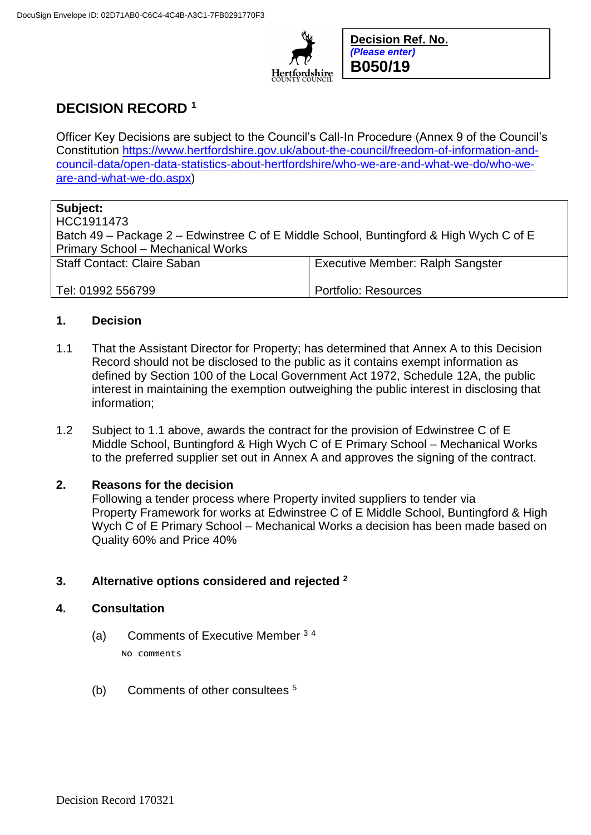

**Decision Ref. No.** *(Please enter)* **B050/19**

# **DECISION RECORD <sup>1</sup>**

Officer Key Decisions are subject to the Council's Call-In Procedure (Annex 9 of the Council's Constitution [https://www.hertfordshire.gov.uk/about-the-council/freedom-of-information-and](https://www.hertfordshire.gov.uk/about-the-council/freedom-of-information-and-council-data/open-data-statistics-about-hertfordshire/who-we-are-and-what-we-do/who-we-are-and-what-we-do.aspx)[council-data/open-data-statistics-about-hertfordshire/who-we-are-and-what-we-do/who-we](https://www.hertfordshire.gov.uk/about-the-council/freedom-of-information-and-council-data/open-data-statistics-about-hertfordshire/who-we-are-and-what-we-do/who-we-are-and-what-we-do.aspx)[are-and-what-we-do.aspx\)](https://www.hertfordshire.gov.uk/about-the-council/freedom-of-information-and-council-data/open-data-statistics-about-hertfordshire/who-we-are-and-what-we-do/who-we-are-and-what-we-do.aspx)

## **Subject:**

HCC1911473 Batch 49 – Package 2 – Edwinstree C of E Middle School, Buntingford & High Wych C of E Primary School – Mechanical Works Staff Contact: Claire Saban Tel: 01992 556799 Executive Member: Ralph Sangster Portfolio: Resources

## **1. Decision**

- 1.1 That the Assistant Director for Property; has determined that Annex A to this Decision Record should not be disclosed to the public as it contains exempt information as defined by Section 100 of the Local Government Act 1972, Schedule 12A, the public interest in maintaining the exemption outweighing the public interest in disclosing that information;
- 1.2 Subject to 1.1 above, awards the contract for the provision of Edwinstree C of E Middle School, Buntingford & High Wych C of E Primary School – Mechanical Works to the preferred supplier set out in Annex A and approves the signing of the contract.

#### **2. Reasons for the decision**

Following a tender process where Property invited suppliers to tender via Property Framework for works at Edwinstree C of E Middle School, Buntingford & High Wych C of E Primary School – Mechanical Works a decision has been made based on Quality 60% and Price 40%

## **3. Alternative options considered and rejected <sup>2</sup>**

#### **4. Consultation**

- (a) Comments of Executive Member <sup>3</sup> <sup>4</sup> No comments
- (b) Comments of other consultees <sup>5</sup>